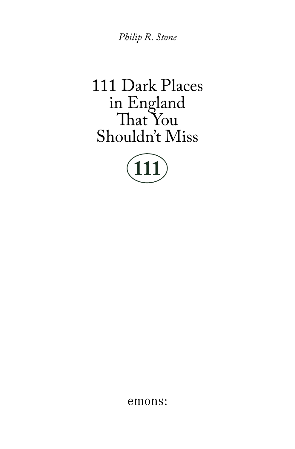Philip R. Stone

## 111 Dark Places in England<br>That You Shouldn't Miss



emons: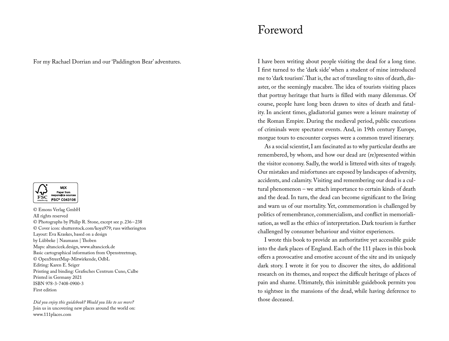For my Rachael Dorrian and our 'Paddington Bear' adventures.



© Emons Verlag GmbH All rights reserved © Photographs by Philip R. Stone, except see p. 236 – 238 © Cover icon: shutterstock.com/koya979; russ witherington Layout: Eva Kraskes, based on a design by Lübbeke | Naumann | Thoben Maps: altancicek.design, www.altancicek.de Basic cartographical information from Openstreetmap, © OpenStreetMap-Mitwirkende, OdbL Editing: Karen E. Seiger Printing and binding: Grafisches Centrum Cuno, Calbe Printed in Germany 2021 ISBN 978-3-7408-0900-3 First edition

*Did you enjoy this guidebook? Would you like to see more?* Join us in uncovering new places around the world on: www.111places.com

## Foreword

I have been writing about people visiting the dead for a long time. I first turned to the 'dark side' when a student of mine introduced me to 'dark tourism'. That is, the act of traveling to sites of death, disaster, or the seemingly macabre. The idea of tourists visiting places that portray heritage that hurts is filled with many dilemmas. Of course, people have long been drawn to sites of death and fatality. In ancient times, gladiatorial games were a leisure mainstay of the Roman Empire. During the medieval period, public executions of criminals were spectator events. And, in 19th century Europe, morgue tours to encounter corpses were a common travel itinerary.

As a social scientist, I am fascinated as to why particular deaths are remembered, by whom, and how our dead are (re)presented within the visitor economy. Sadly, the world is littered with sites of tragedy. Our mistakes and misfortunes are exposed by landscapes of adversity, accidents, and calamity. Visiting and remembering our dead is a cultural phenomenon – we attach importance to certain kinds of death and the dead. In turn, the dead can become significant to the living and warn us of our mortality. Yet, commemoration is challenged by politics of remembrance, commercialism, and conflict in memorialisation, as well as the ethics of interpretation. Dark tourism is further challenged by consumer behaviour and visitor experiences.

I wrote this book to provide an authoritative yet accessible guide into the dark places of England. Each of the 111 places in this book offers a provocative and emotive account of the site and its uniquely dark story. I wrote it for you to discover the sites, do additional research on its themes, and respect the difficult heritage of places of pain and shame. Ultimately, this inimitable guidebook permits you to sightsee in the mansions of the dead, while having deference to those deceased.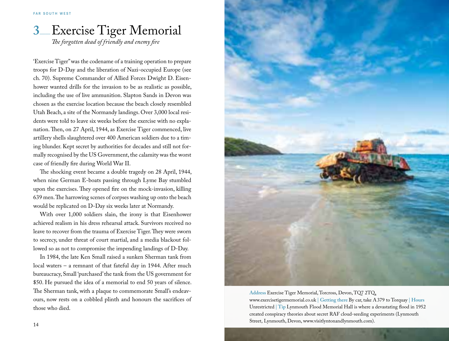## Exercise Tiger Memorial *The forgotten dead of friendly and enemy fire* **3**\_\_

'Exercise Tiger" was the codename of a training operation to prepare troops for D-Day and the liberation of Nazi-occupied Europe (see ch. 70). Supreme Commander of Allied Forces Dwight D. Eisenhower wanted drills for the invasion to be as realistic as possible, including the use of live ammunition. Slapton Sands in Devon was chosen as the exercise location because the beach closely resembled Utah Beach, a site of the Normandy landings. Over 3,000 local residents were told to leave six weeks before the exercise with no explanation. Then, on 27 April, 1944, as Exercise Tiger commenced, live artillery shells slaughtered over 400 American soldiers due to a timing blunder. Kept secret by authorities for decades and still not formally recognised by the US Government, the calamity was the worst case of friendly fire during World War II.

The shocking event became a double tragedy on 28 April, 1944, when nine German E-boats passing through Lyme Bay stumbled upon the exercises. They opened fire on the mock-invasion, killing 639 men. The harrowing scenes of corpses washing up onto the beach would be replicated on D-Day six weeks later at Normandy.

With over 1,000 soldiers slain, the irony is that Eisenhower achieved realism in his dress rehearsal attack. Survivors received no leave to recover from the trauma of Exercise Tiger. They were sworn to secrecy, under threat of court martial, and a media blackout followed so as not to compromise the impending landings of D-Day.

In 1984, the late Ken Small raised a sunken Sherman tank from local waters – a remnant of that fateful day in 1944. After much bureaucracy, Small 'purchased' the tank from the US government for \$50. He pursued the idea of a memorial to end 50 years of silence. The Sherman tank, with a plaque to commemorate Small's endeavours, now rests on a cobbled plinth and honours the sacrifices of those who died.



**Address** Exercise Tiger Memorial, Torcross, Devon, TQ7 2TQ, www.exercisetigermemorial.co.uk **| Getting there** By car, take A 379 to Torquay **| Hours**  Unrestricted **| Tip** Lynmouth Flood Memorial Hall is where a devastating flood in 1952 created conspiracy theories about secret RAF cloud-seeding experiments (Lynmouth Street, Lynmouth, Devon, www.visitlyntonandlynmouth.com).